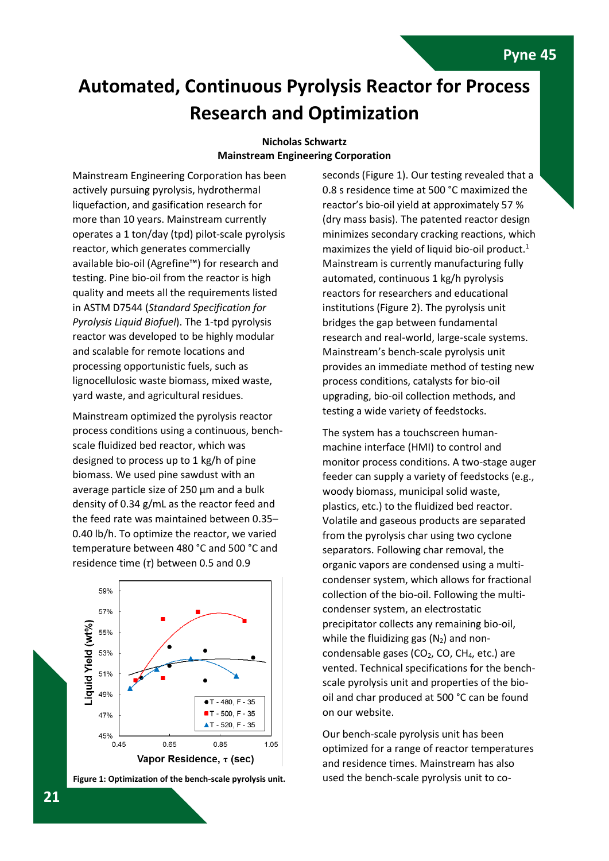# **Automated, Continuous Pyrolysis Reactor for Process Research and Optimization**

### **Nicholas Schwartz Mainstream Engineering Corporation**

Mainstream Engineering Corporation has been actively pursuing pyrolysis, hydrothermal liquefaction, and gasification research for more than 10 years. Mainstream currently operates a 1 ton/day (tpd) pilot-scale pyrolysis reactor, which generates commercially available bio-oil (Agrefine™) for research and testing. Pine bio-oil from the reactor is high quality and meets all the requirements listed in ASTM D7544 (*Standard Specification for Pyrolysis Liquid Biofuel*). The 1-tpd pyrolysis reactor was developed to be highly modular and scalable for remote locations and processing opportunistic fuels, such as lignocellulosic waste biomass, mixed waste, yard waste, and agricultural residues.

Mainstream optimized the pyrolysis reactor process conditions using a continuous, benchscale fluidized bed reactor, which was designed to process up to 1 kg/h of pine biomass. We used pine sawdust with an average particle size of 250 µm and a bulk density of 0.34 g/mL as the reactor feed and the feed rate was maintained between 0.35– 0.40 lb/h. To optimize the reactor, we varied temperature between 480 °C and 500 °C and residence time (*τ*) between 0.5 and 0.9





seconds (Figure 1). Our testing revealed that a 0.8 s residence time at 500 °C maximized the reactor's bio-oil yield at approximately 57 % (dry mass basis). The patented reactor design minimizes secondary cracking reactions, which maximizes the yield of liquid bio-oil product. $1$ Mainstream is currently manufacturing fully automated, continuous 1 kg/h pyrolysis reactors for researchers and educational institutions (Figure 2). The pyrolysis unit bridges the gap between fundamental research and real-world, large-scale systems. Mainstream's bench-scale pyrolysis unit provides an immediate method of testing new process conditions, catalysts for bio-oil upgrading, bio-oil collection methods, and testing a wide variety of feedstocks.

The system has a touchscreen humanmachine interface (HMI) to control and monitor process conditions. A two-stage auger feeder can supply a variety of feedstocks (e.g., woody biomass, municipal solid waste, plastics, etc.) to the fluidized bed reactor. Volatile and gaseous products are separated from the pyrolysis char using two cyclone separators. Following char removal, the organic vapors are condensed using a multicondenser system, which allows for fractional collection of the bio-oil. Following the multicondenser system, an electrostatic precipitator collects any remaining bio-oil, while the fluidizing gas  $(N_2)$  and noncondensable gases (CO<sub>2</sub>, CO, CH<sub>4</sub>, etc.) are vented. Technical specifications for the benchscale pyrolysis unit and properties of the biooil and char produced at 500 °C can be found on our website.

Our bench-scale pyrolysis unit has been optimized for a range of reactor temperatures and residence times. Mainstream has also used the bench-scale pyrolysis unit to co-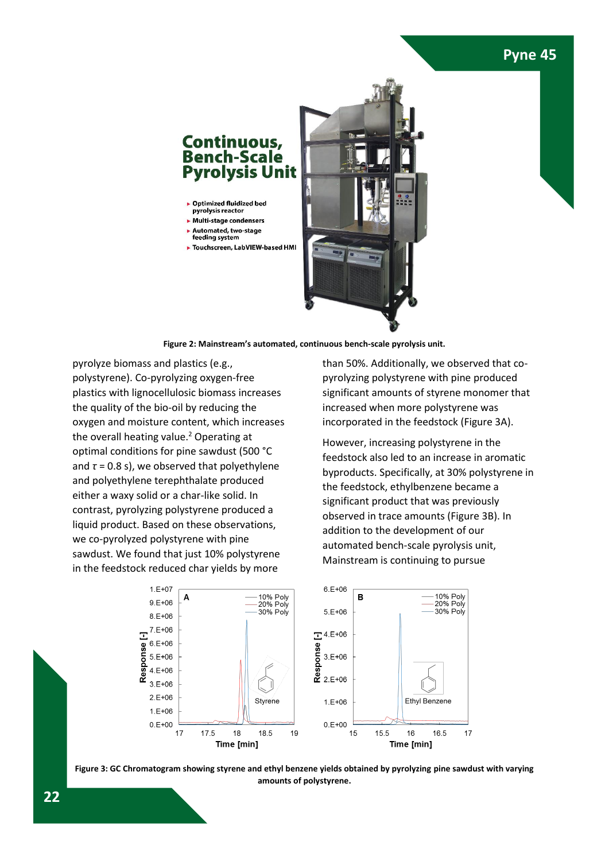## **Pyne 45**

# **Continuous, Bench-Scale Pyrolysis Unit**

- ▶ Optimized fluidized bed pyrolysis reactor
- Multi-stage condensers
- Automated, two-stage
- feeding system > Touchscreen, LabVIEW-based HMI





pyrolyze biomass and plastics (e.g., polystyrene). Co-pyrolyzing oxygen-free plastics with lignocellulosic biomass increases the quality of the bio-oil by reducing the oxygen and moisture content, which increases the overall heating value.<sup>2</sup> Operating at optimal conditions for pine sawdust (500 °C and *τ* = 0.8 s), we observed that polyethylene and polyethylene terephthalate produced either a waxy solid or a char-like solid. In contrast, pyrolyzing polystyrene produced a liquid product. Based on these observations, we co-pyrolyzed polystyrene with pine sawdust. We found that just 10% polystyrene in the feedstock reduced char yields by more

than 50%. Additionally, we observed that copyrolyzing polystyrene with pine produced significant amounts of styrene monomer that increased when more polystyrene was incorporated in the feedstock (Figure 3A).

However, increasing polystyrene in the feedstock also led to an increase in aromatic byproducts. Specifically, at 30% polystyrene in the feedstock, ethylbenzene became a significant product that was previously observed in trace amounts (Figure 3B). In addition to the development of our automated bench-scale pyrolysis unit, Mainstream is continuing to pursue